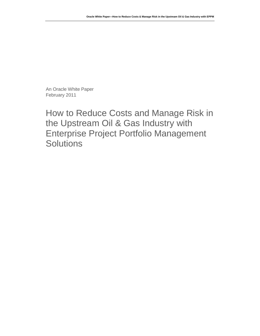An Oracle White Paper February 2011

How to Reduce Costs and Manage Risk in the Upstream Oil & Gas Industry with Enterprise Project Portfolio Management **Solutions**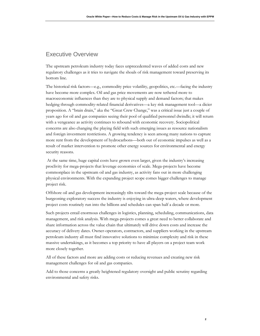# Executive Overview

The upstream petroleum industry today faces unprecedented waves of added costs and new regulatory challenges as it tries to navigate the shoals of risk management toward preserving its bottom line.

The historical risk factors—e.g., commodity price volatility, geopolitics, etc.—facing the industry have become more complex. Oil and gas price movements are now tethered more to macroeconomic influences than they are to physical supply and demand factors; that makes hedging through commodity-related financial derivatives—a key risk management tool—a dicier proposition. A "brain drain," aka the "Great Crew Change," was a critical issue just a couple of years ago for oil and gas companies seeing their pool of qualified personnel dwindle; it will return with a vengeance as activity continues to rebound with economic recovery. Sociopolitical concerns are also changing the playing field with such emerging issues as resource nationalism and foreign investment restrictions. A growing tendency is seen among many nations to capture more rent from the development of hydrocarbons—both out of economic impulses as well as a result of market intervention to promote other energy sources for environmental and energy security reasons.

At the same time, huge capital costs have grown even larger, given the industry's increasing proclivity for mega-projects that leverage economies of scale. Mega-projects have become commonplace in the upstream oil and gas industry, as activity fans out in more challenging physical environments. With the expanding project scope comes bigger challenges to manage project risk.

Offshore oil and gas development increasingly tilts toward the mega-project scale because of the burgeoning exploratory success the industry is enjoying in ultra-deep waters, where development project costs routinely run into the billions and schedules can span half a decade or more.

Such projects entail enormous challenges in logistics, planning, scheduling, communications, data management, and risk analysis. With mega-projects comes a great need to better collaborate and share information across the value chain that ultimately will drive down costs and increase the accuracy of delivery dates. Owner-operators, contractors, and suppliers working in the upstream petroleum industry all must find innovative solutions to minimize complexity and risk in these massive undertakings, as it becomes a top priority to have all players on a project team work more closely together.

All of these factors and more are adding costs or reducing revenues and creating new risk management challenges for oil and gas companies.

Add to those concerns a greatly heightened regulatory oversight and public scrutiny regarding environmental and safety risks.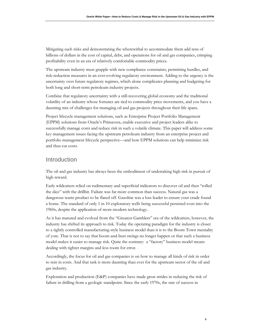Mitigating such risks and demonstrating the wherewithal to accommodate them add tens of billions of dollars in the cost of capital, debt, and operations for oil and gas companies, crimping profitability even in an era of relatively comfortable commodity prices.

The upstream industry must grapple with new compliance constraints, permitting hurdles, and risk-reduction measures in an ever-evolving regulatory environment. Adding to the urgency is the uncertainty over future regulatory regimes, which alone complicates planning and budgeting for both long and short-term petroleum industry projects.

Combine that regulatory uncertainty with a still-recovering global economy and the traditional volatility of an industry whose fortunes are tied to commodity price movements, and you have a daunting mix of challenges for managing oil and gas projects throughout their life spans.

Project lifecycle management solutions, such as Enterprise Project Portfolio Management (EPPM) solutions from Oracle's Primavera, enable executive and project leaders alike to successfully manage costs and reduce risk in such a volatile climate. This paper will address some key management issues facing the upstream petroleum industry from an enterprise project and portfolio management lifecycle perspective—and how EPPM solutions can help minimize risk and thus cut costs.

### Introduction

The oil and gas industry has always been the embodiment of undertaking high risk in pursuit of high reward.

Early wildcatters relied on rudimentary and superficial indicators to discover oil and then "rolled the dice" with the drillbit. Failure was far more common than success. Natural gas was a dangerous waste product to be flared off. Gasoline was a loss leader to ensure your crude found a home. The standard of only 1 in 10 exploratory wells being successful persisted even into the 1960s, despite the application of more-modern technology.

As it has matured and evolved from the "Greatest Gamblers" era of the wildcatters, however, the industry has shifted its approach to risk. Today the operating paradigm for the industry is closer to a tightly controlled manufacturing-style business model than it is to the Boom Town mentality of yore. That is not to say that boom-and-bust swings no longer happen or that such a business model makes it easier to manage risk. Quite the contrary: a "factory" business model means dealing with tighter margins and less room for error.

Accordingly, the focus for oil and gas companies is on how to manage all kinds of risk in order to rein in costs. And that task is more daunting than ever for the upstream sector of the oil and gas industry.

Exploration and production (E&P) companies have made great strides in reducing the risk of failure in drilling from a geologic standpoint. Since the early 1970s, the rate of success in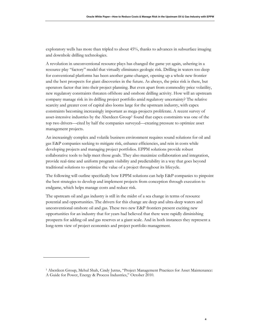exploratory wells has more than tripled to about 45%, thanks to advances in subsurface imaging and downhole drilling technologies.

A revolution in unconventional resource plays has changed the game yet again, ushering in a resource play "factory" model that virtually eliminates geologic risk. Drilling in waters too deep for conventional platforms has been another game-changer, opening up a whole new frontier and the best prospects for giant discoveries in the future. As always, the price risk is there, but operators factor that into their project planning. But even apart from commodity price volatility, new regulatory constraints threaten offshore and onshore drilling activity. How will an upstream company manage risk in its drilling project portfolio amid regulatory uncertainty? The relative scarcity and greater cost of capital also looms large for the upstream industry, with capex constraints becoming increasingly important as mega-projects proliferate. A recent survey of asset-intensive industries by the Aberdeen Group<sup>1</sup> found that capex constraints was one of the top two drivers—cited by half the companies surveyed—creating pressure to optimize asset management projects.

An increasingly complex and volatile business environment requires sound solutions for oil and gas E&P companies seeking to mitigate risk, enhance efficiencies, and rein in costs while developing projects and managing project portfolios. EPPM solutions provide robust collaborative tools to help meet those goals. They also maximize collaboration and integration, provide real-time and uniform program visibility and predictability in a way that goes beyond traditional solutions to optimize the value of a project throughout its lifecycle.

The following will outline specifically how EPPM solutions can help E&P companies to pinpoint the best strategies to develop and implement projects from conception through execution to endgame, which helps manage costs and reduce risk.

The upstream oil and gas industry is still in the midst of a sea change in terms of resource potential and opportunities. The drivers for this change are deep and ultra-deep waters and unconventional onshore oil and gas. These two new E&P frontiers present exciting new opportunities for an industry that for years had believed that there were rapidly diminishing prospects for adding oil and gas reserves at a giant scale. And in both instances they represent a long-term view of project economics and project portfolio management.

<sup>1</sup> Aberdeen Group, Mehul Shah, Cindy Jutras, "Project Management Practices for Asset Maintenance: A Guide for Power, Energy & Process Industries," October 2010.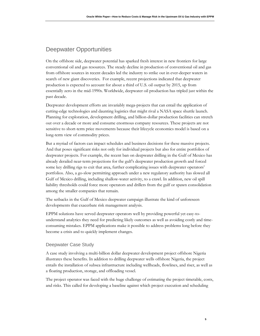# Deepwater Opportunities

On the offshore side, deepwater potential has sparked fresh interest in new frontiers for large conventional oil and gas resources. The steady decline in production of conventional oil and gas from offshore sources in recent decades led the industry to strike out in ever-deeper waters in search of new giant discoveries. For example, recent projections indicated that deepwater production is expected to account for about a third of U.S. oil output by 2015, up from essentially zero in the mid-1990s. Worldwide, deepwater oil production has tripled just within the past decade.

Deepwater development efforts are invariably mega-projects that can entail the application of cutting-edge technologies and daunting logistics that might rival a NASA space shuttle launch. Planning for exploration, development drilling, and billion-dollar production facilities can stretch out over a decade or more and consume enormous company resources. These projects are not sensitive to short-term price movements because their lifecycle economics model is based on a long-term view of commodity prices.

But a myriad of factors can impact schedules and business decisions for these massive projects. And that poses significant risks not only for individual projects but also for entire portfolios of deepwater projects. For example, the recent ban on deepwater drilling in the Gulf of Mexico has already derailed near-term projections for the gulf's deepwater production growth and forced some key drilling rigs to exit that area, further complicating issues with deepwater operators' portfolios. Also, a go-slow permitting approach under a new regulatory authority has slowed all Gulf of Mexico drilling, including shallow-water activity, to a crawl. In addition, new oil spill liability thresholds could force more operators and drillers from the gulf or spawn consolidation among the smaller companies that remain.

The setbacks in the Gulf of Mexico deepwater campaign illustrate the kind of unforeseen developments that exacerbate risk management analysis.

EPPM solutions have served deepwater operators well by providing powerful yet easy-tounderstand analytics they need for predicting likely outcomes as well as avoiding costly and timeconsuming mistakes. EPPM applications make it possible to address problems long before they become a crisis and to quickly implement changes.

#### Deepwater Case Study

A case study involving a multi-billion dollar deepwater development project offshore Nigeria illustrates these benefits. In addition to drilling deepwater wells offshore Nigeria, the project entails the installation of subsea infrastructure including wellheads, flowlines, and riser, as well as a floating production, storage, and offloading vessel.

The project operator was faced with the huge challenge of estimating the project timetable, costs, and risks. This called for developing a baseline against which project execution and scheduling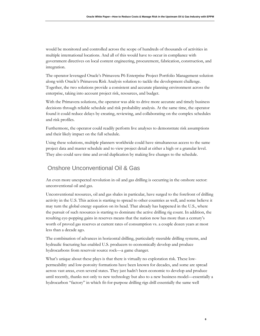would be monitored and controlled across the scope of hundreds of thousands of activities in multiple international locations. And all of this would have to occur in compliance with government directives on local content engineering, procurement, fabrication, construction, and integration.

The operator leveraged Oracle's Primavera P6 Enterprise Project Portfolio Management solution along with Oracle's Primavera Risk Analysis solution to tackle the development challenge. Together, the two solutions provide a consistent and accurate planning environment across the enterprise, taking into account project risk, resources, and budget.

With the Primavera solutions, the operator was able to drive more accurate and timely business decisions through reliable schedule and risk probability analysis. At the same time, the operator found it could reduce delays by creating, reviewing, and collaborating on the complex schedules and risk profiles.

Furthermore, the operator could readily perform live analyses to demonstrate risk assumptions and their likely impact on the full schedule.

Using these solutions, multiple planners worldwide could have simultaneous access to the same project data and master schedule and to view project detail at either a high or a granular level. They also could save time and avoid duplication by making live changes to the schedule.

## Onshore Unconventional Oil & Gas

An even more unexpected revolution in oil and gas drilling is occurring in the onshore sector: unconventional oil and gas.

Unconventional resources, oil and gas shales in particular, have surged to the forefront of drilling activity in the U.S. This action is starting to spread to other countries as well, and some believe it may turn the global energy equation on its head. That already has happened in the U.S., where the pursuit of such resources is starting to dominate the active drilling rig count. In addition, the resulting eye-popping gains in reserves means that the nation now has more than a century's worth of proved gas reserves at current rates of consumption vs. a couple dozen years at most less than a decade ago.

The combination of advances in horizontal drilling, particularly steerable drilling systems, and hydraulic fracturing has enabled U.S. producers to economically develop and produce hydrocarbons from reservoir source rock—a game changer.

What's unique about these plays is that there is virtually no exploration risk. These lowpermeability and low-porosity formations have been known for decades, and some are spread across vast areas, even several states. They just hadn't been economic to develop and produce until recently, thanks not only to new technology but also to a new business model—essentially a hydrocarbon "factory" in which fit-for-purpose drilling rigs drill essentially the same well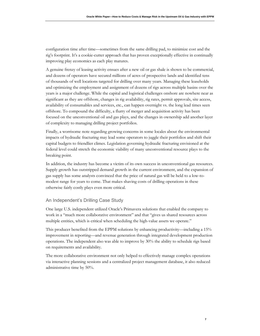configuration time after time—sometimes from the same drilling pad, to minimize cost and the rig's footprint. It's a cookie-cutter approach that has proven exceptionally effective in continually improving play economics as each play matures.

A genuine frenzy of leasing activity ensues after a new oil or gas shale is shown to be commercial, and dozens of operators have secured millions of acres of prospective lands and identified tens of thousands of well locations targeted for drilling over many years. Managing these leaseholds and optimizing the employment and assignment of dozens of rigs across multiple basins over the years is a major challenge. While the capital and logistical challenges onshore are nowhere near as significant as they are offshore, changes in rig availability, rig rates, permit approvals, site access, availability of consumables and services, etc., can happen overnight vs. the long lead times seen offshore. To compound the difficulty, a flurry of merger and acquisition activity has been focused on the unconventional oil and gas plays, and the changes in ownership add another layer of complexity to managing drilling project portfolios.

Finally, a worrisome note regarding growing concerns in some locales about the environmental impacts of hydraulic fracturing may lead some operators to juggle their portfolios and shift their capital budgets to friendlier climes. Legislation governing hydraulic fracturing envisioned at the federal level could stretch the economic viability of many unconventional resource plays to the breaking point.

In addition, the industry has become a victim of its own success in unconventional gas resources. Supply growth has outstripped demand growth in the current environment, and the expansion of gas supply has some analysts convinced that the price of natural gas will be held to a low-tomodest range for years to come. That makes shaving costs of drilling operations in these otherwise fairly costly plays even more critical.

#### An Independent's Drilling Case Study

One large U.S. independent utilized Oracle's Primavera solutions that enabled the company to work in a "much more collaborative environment" and that "gives us shared resources across multiple entities, which is critical when scheduling the high-value assets we operate."

This producer benefited from the EPPM solutions by enhancing productivity—including a 15% improvement in reporting—and revenue generation through integrated development production operations. The independent also was able to improve by 30% the ability to schedule rigs based on requirements and availability.

The more collaborative environment not only helped to effectively manage complex operations via interactive planning sessions and a centralized project management database, it also reduced administrative time by 50%.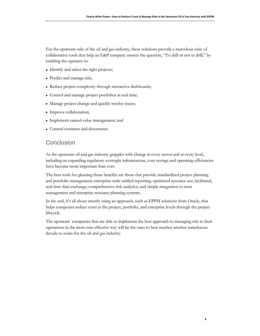For the upstream side of the oil and gas industry, these solutions provide a marvelous suite of collaborative tools that help an E&P company answer the question, "To drill or not to drill," by enabling the operator to:

- Identify and select the right projects;
- Predict and manage risk;
- Reduce project complexity through interactive dashboards;
- Control and manage project portfolios in real time;
- Manage project change and quickly resolve issues;
- Improve collaboration;
- Implement earned-value management; and
- Control contracts and documents.

### **Conclusion**

As the upstream oil and gas industry grapples with change in every sector and at every level, including an expanding regulatory oversight infrastructure, cost savings and operating efficiencies have become more important than ever.

The best tools for gleaning those benefits are those that provide standardized project planning and portfolio management; enterprise-wide unified reporting; optimized resource use; facilitated, real-time data exchange; comprehensive risk analytics; and simple integration to asset management and enterprise resource planning systems.

In the end, it's all about smartly using an approach, such as EPPM solutions from Oracle, that helps companies reduce costs at the project, portfolio, and enterprise levels through the project lifecycle.

The upstream companies that are able to implement the best approach to managing risk to their operations in the most cost-effective way will be the ones to best weather another tumultuous decade to come for the oil and gas industry.

**8**